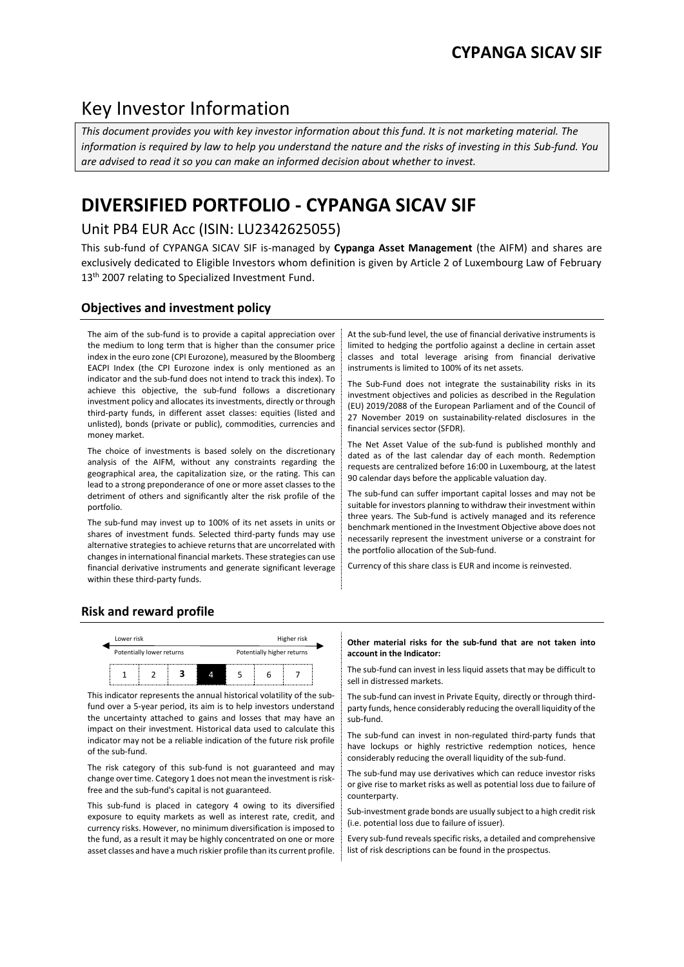# Key Investor Information

*This document provides you with key investor information about this fund. It is not marketing material. The information is required by law to help you understand the nature and the risks of investing in this Sub-fund. You are advised to read it so you can make an informed decision about whether to invest.*

# **DIVERSIFIED PORTFOLIO - CYPANGA SICAV SIF**

## Unit PB4 EUR Acc (ISIN: LU2342625055)

This sub-fund of CYPANGA SICAV SIF is-managed by **Cypanga Asset Management** (the AIFM) and shares are exclusively dedicated to Eligible Investors whom definition is given by Article 2 of Luxembourg Law of February 13<sup>th</sup> 2007 relating to Specialized Investment Fund.

## **Objectives and investment policy**

The aim of the sub-fund is to provide a capital appreciation over the medium to long term that is higher than the consumer price index in the euro zone (CPI Eurozone), measured by the Bloomberg EACPI Index (the CPI Eurozone index is only mentioned as an indicator and the sub-fund does not intend to track this index). To achieve this objective, the sub-fund follows a discretionary investment policy and allocates its investments, directly or through third-party funds, in different asset classes: equities (listed and unlisted), bonds (private or public), commodities, currencies and money market.

The choice of investments is based solely on the discretionary analysis of the AIFM, without any constraints regarding the geographical area, the capitalization size, or the rating. This can lead to a strong preponderance of one or more asset classes to the detriment of others and significantly alter the risk profile of the portfolio.

The sub-fund may invest up to 100% of its net assets in units or shares of investment funds. Selected third-party funds may use alternative strategies to achieve returns that are uncorrelated with changes in international financial markets. These strategies can use financial derivative instruments and generate significant leverage within these third-party funds.

At the sub-fund level, the use of financial derivative instruments is limited to hedging the portfolio against a decline in certain asset classes and total leverage arising from financial derivative instruments is limited to 100% of its net assets.

The Sub-Fund does not integrate the sustainability risks in its investment objectives and policies as described in the Regulation (EU) 2019/2088 of the European Parliament and of the Council of 27 November 2019 on sustainability-related disclosures in the financial services sector (SFDR).

The Net Asset Value of the sub-fund is published monthly and dated as of the last calendar day of each month. Redemption requests are centralized before 16:00 in Luxembourg, at the latest 90 calendar days before the applicable valuation day.

The sub-fund can suffer important capital losses and may not be suitable for investors planning to withdraw their investment within three years. The Sub-fund is actively managed and its reference benchmark mentioned in the Investment Objective above does not necessarily represent the investment universe or a constraint for the portfolio allocation of the Sub-fund.

Currency of this share class is EUR and income is reinvested.

## **Risk and reward profile**



This indicator represents the annual historical volatility of the subfund over a 5-year period, its aim is to help investors understand the uncertainty attached to gains and losses that may have an impact on their investment. Historical data used to calculate this indicator may not be a reliable indication of the future risk profile of the sub-fund.

The risk category of this sub-fund is not guaranteed and may change over time. Category 1 does not mean the investment is riskfree and the sub-fund's capital is not guaranteed.

This sub-fund is placed in category 4 owing to its diversified exposure to equity markets as well as interest rate, credit, and currency risks. However, no minimum diversification is imposed to the fund, as a result it may be highly concentrated on one or more asset classes and have a much riskier profile than its current profile.

#### **Other material risks for the sub-fund that are not taken into account in the Indicator:**

The sub-fund can invest in less liquid assets that may be difficult to sell in distressed markets.

The sub-fund can invest in Private Equity, directly or through thirdparty funds, hence considerably reducing the overall liquidity of the sub-fund.

The sub-fund can invest in non-regulated third-party funds that have lockups or highly restrictive redemption notices, hence considerably reducing the overall liquidity of the sub-fund.

The sub-fund may use derivatives which can reduce investor risks or give rise to market risks as well as potential loss due to failure of counterparty.

Sub-investment grade bonds are usually subject to a high credit risk (i.e. potential loss due to failure of issuer).

Every sub-fund reveals specific risks, a detailed and comprehensive list of risk descriptions can be found in the prospectus.